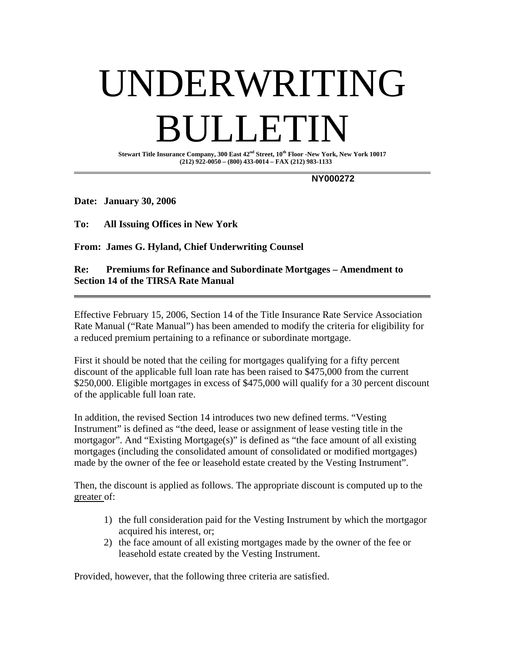# UNDERWRITING BULLETIN

**Stewart Title Insurance Company, 300 East 42nd Street, 10th Floor -New York, New York 10017 (212) 922-0050 – (800) 433-0014 – FAX (212) 983-1133** 

 **NY000272** 

**Date: January 30, 2006** 

**To: All Issuing Offices in New York** 

**From: James G. Hyland, Chief Underwriting Counsel** 

# **Re: Premiums for Refinance and Subordinate Mortgages – Amendment to Section 14 of the TIRSA Rate Manual**

Effective February 15, 2006, Section 14 of the Title Insurance Rate Service Association Rate Manual ("Rate Manual") has been amended to modify the criteria for eligibility for a reduced premium pertaining to a refinance or subordinate mortgage.

First it should be noted that the ceiling for mortgages qualifying for a fifty percent discount of the applicable full loan rate has been raised to \$475,000 from the current \$250,000. Eligible mortgages in excess of \$475,000 will qualify for a 30 percent discount of the applicable full loan rate.

In addition, the revised Section 14 introduces two new defined terms. "Vesting Instrument" is defined as "the deed, lease or assignment of lease vesting title in the mortgagor". And "Existing Mortgage(s)" is defined as "the face amount of all existing mortgages (including the consolidated amount of consolidated or modified mortgages) made by the owner of the fee or leasehold estate created by the Vesting Instrument".

Then, the discount is applied as follows. The appropriate discount is computed up to the greater of:

- 1) the full consideration paid for the Vesting Instrument by which the mortgagor acquired his interest, or;
- 2) the face amount of all existing mortgages made by the owner of the fee or leasehold estate created by the Vesting Instrument.

Provided, however, that the following three criteria are satisfied.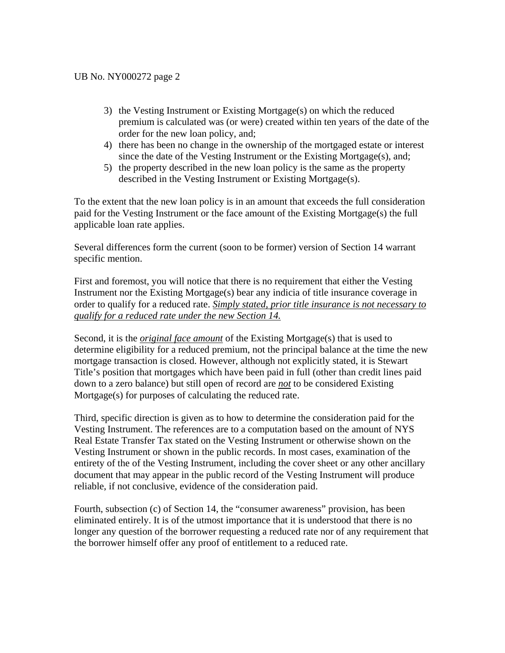- 3) the Vesting Instrument or Existing Mortgage(s) on which the reduced premium is calculated was (or were) created within ten years of the date of the order for the new loan policy, and;
- 4) there has been no change in the ownership of the mortgaged estate or interest since the date of the Vesting Instrument or the Existing Mortgage(s), and;
- 5) the property described in the new loan policy is the same as the property described in the Vesting Instrument or Existing Mortgage(s).

To the extent that the new loan policy is in an amount that exceeds the full consideration paid for the Vesting Instrument or the face amount of the Existing Mortgage(s) the full applicable loan rate applies.

Several differences form the current (soon to be former) version of Section 14 warrant specific mention.

First and foremost, you will notice that there is no requirement that either the Vesting Instrument nor the Existing Mortgage(s) bear any indicia of title insurance coverage in order to qualify for a reduced rate. *Simply stated, prior title insurance is not necessary to qualify for a reduced rate under the new Section 14.* 

Second, it is the *original face amount* of the Existing Mortgage(s) that is used to determine eligibility for a reduced premium, not the principal balance at the time the new mortgage transaction is closed. However, although not explicitly stated, it is Stewart Title's position that mortgages which have been paid in full (other than credit lines paid down to a zero balance) but still open of record are *not* to be considered Existing Mortgage(s) for purposes of calculating the reduced rate.

Third, specific direction is given as to how to determine the consideration paid for the Vesting Instrument. The references are to a computation based on the amount of NYS Real Estate Transfer Tax stated on the Vesting Instrument or otherwise shown on the Vesting Instrument or shown in the public records. In most cases, examination of the entirety of the of the Vesting Instrument, including the cover sheet or any other ancillary document that may appear in the public record of the Vesting Instrument will produce reliable, if not conclusive, evidence of the consideration paid.

Fourth, subsection (c) of Section 14, the "consumer awareness" provision, has been eliminated entirely. It is of the utmost importance that it is understood that there is no longer any question of the borrower requesting a reduced rate nor of any requirement that the borrower himself offer any proof of entitlement to a reduced rate.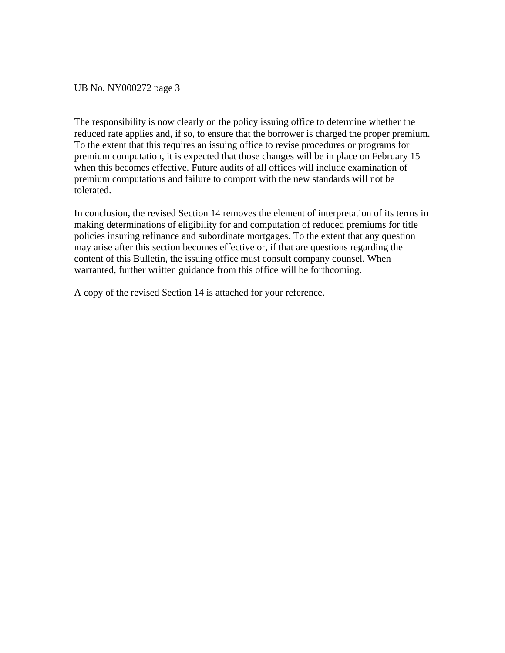UB No. NY000272 page 3

The responsibility is now clearly on the policy issuing office to determine whether the reduced rate applies and, if so, to ensure that the borrower is charged the proper premium. To the extent that this requires an issuing office to revise procedures or programs for premium computation, it is expected that those changes will be in place on February 15 when this becomes effective. Future audits of all offices will include examination of premium computations and failure to comport with the new standards will not be tolerated.

In conclusion, the revised Section 14 removes the element of interpretation of its terms in making determinations of eligibility for and computation of reduced premiums for title policies insuring refinance and subordinate mortgages. To the extent that any question may arise after this section becomes effective or, if that are questions regarding the content of this Bulletin, the issuing office must consult company counsel. When warranted, further written guidance from this office will be forthcoming.

A copy of the revised Section 14 is attached for your reference.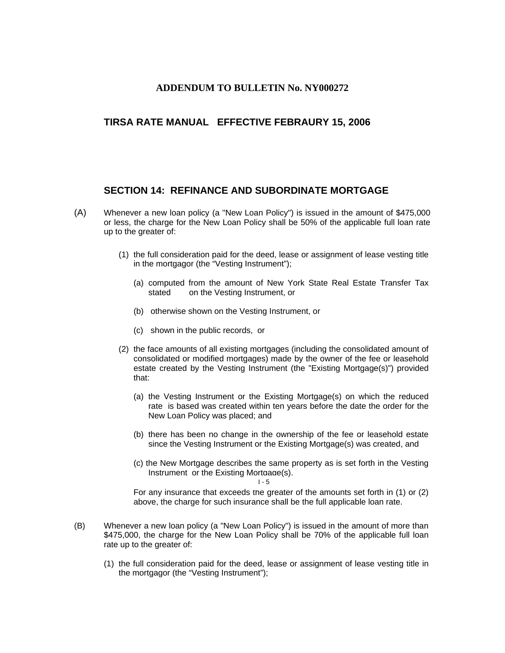### **ADDENDUM TO BULLETIN No. NY000272**

# **TIRSA RATE MANUAL EFFECTIVE FEBRAURY 15, 2006**

## **SECTION 14: REFINANCE AND SUBORDINATE MORTGAGE**

- (A) Whenever a new loan policy (a "New Loan Policy") is issued in the amount of \$475,000 or less, the charge for the New Loan Policy shall be 50% of the applicable full loan rate up to the greater of:
	- (1) the full consideration paid for the deed, lease or assignment of lease vesting title in the mortgagor (the "Vesting Instrument");
		- (a) computed from the amount of New York State Real Estate Transfer Tax stated on the Vesting Instrument, or
		- (b) otherwise shown on the Vesting Instrument, or
		- (c) shown in the public records, or
	- (2) the face amounts of all existing mortgages (including the consolidated amount of consolidated or modified mortgages) made by the owner of the fee or leasehold estate created by the Vesting Instrument (the "Existing Mortgage(s)") provided that:
		- (a) the Vesting Instrument or the Existing Mortgage(s) on which the reduced rate is based was created within ten years before the date the order for the New Loan Policy was placed; and
		- (b) there has been no change in the ownership of the fee or leasehold estate since the Vesting Instrument or the Existing Mortgage(s) was created, and
		- (c) the New Mortgage describes the same property as is set forth in the Vesting Instrument or the Existing Mortgage(s).

 $I - 5$ 

For any insurance that exceeds the greater of the amounts set forth in (1) or (2) above, the charge for such insurance shall be the full applicable loan rate.

- (B) Whenever a new loan policy (a "New Loan Policy") is issued in the amount of more than \$475,000, the charge for the New Loan Policy shall be 70% of the applicable full loan rate up to the greater of:
	- (1) the full consideration paid for the deed, lease or assignment of lease vesting title in the mortgagor (the "Vesting Instrument");